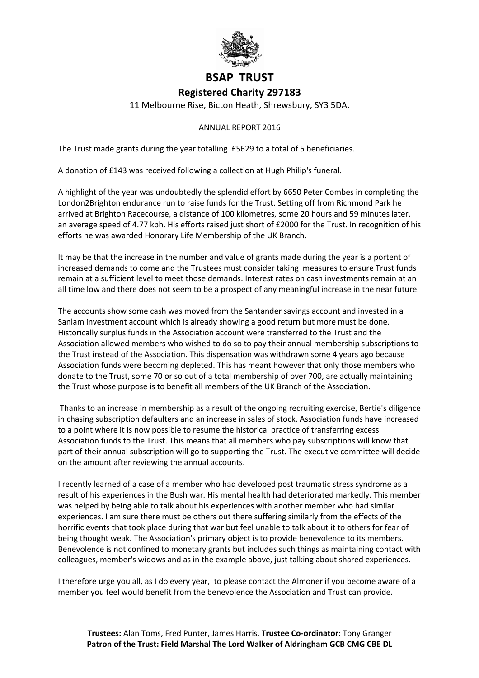

## **BSAP TRUST Registered Charity 297183**

11 Melbourne Rise, Bicton Heath, Shrewsbury, SY3 5DA.

## ANNUAL REPORT 2016

The Trust made grants during the year totalling £5629 to a total of 5 beneficiaries.

A donation of £143 was received following a collection at Hugh Philip's funeral.

A highlight of the year was undoubtedly the splendid effort by 6650 Peter Combes in completing the London2Brighton endurance run to raise funds for the Trust. Setting off from Richmond Park he arrived at Brighton Racecourse, a distance of 100 kilometres, some 20 hours and 59 minutes later, an average speed of 4.77 kph. His efforts raised just short of £2000 for the Trust. In recognition of his efforts he was awarded Honorary Life Membership of the UK Branch.

It may be that the increase in the number and value of grants made during the year is a portent of increased demands to come and the Trustees must consider taking measures to ensure Trust funds remain at a sufficient level to meet those demands. Interest rates on cash investments remain at an all time low and there does not seem to be a prospect of any meaningful increase in the near future.

The accounts show some cash was moved from the Santander savings account and invested in a Sanlam investment account which is already showing a good return but more must be done. Historically surplus funds in the Association account were transferred to the Trust and the Association allowed members who wished to do so to pay their annual membership subscriptions to the Trust instead of the Association. This dispensation was withdrawn some 4 years ago because Association funds were becoming depleted. This has meant however that only those members who donate to the Trust, some 70 or so out of a total membership of over 700, are actually maintaining the Trust whose purpose is to benefit all members of the UK Branch of the Association.

Thanks to an increase in membership as a result of the ongoing recruiting exercise, Bertie's diligence in chasing subscription defaulters and an increase in sales of stock, Association funds have increased to a point where it is now possible to resume the historical practice of transferring excess Association funds to the Trust. This means that all members who pay subscriptions will know that part of their annual subscription will go to supporting the Trust. The executive committee will decide on the amount after reviewing the annual accounts.

I recently learned of a case of a member who had developed post traumatic stress syndrome as a result of his experiences in the Bush war. His mental health had deteriorated markedly. This member was helped by being able to talk about his experiences with another member who had similar experiences. I am sure there must be others out there suffering similarly from the effects of the horrific events that took place during that war but feel unable to talk about it to others for fear of being thought weak. The Association's primary object is to provide benevolence to its members. Benevolence is not confined to monetary grants but includes such things as maintaining contact with colleagues, member's widows and as in the example above, just talking about shared experiences.

I therefore urge you all, as I do every year, to please contact the Almoner if you become aware of a member you feel would benefit from the benevolence the Association and Trust can provide.